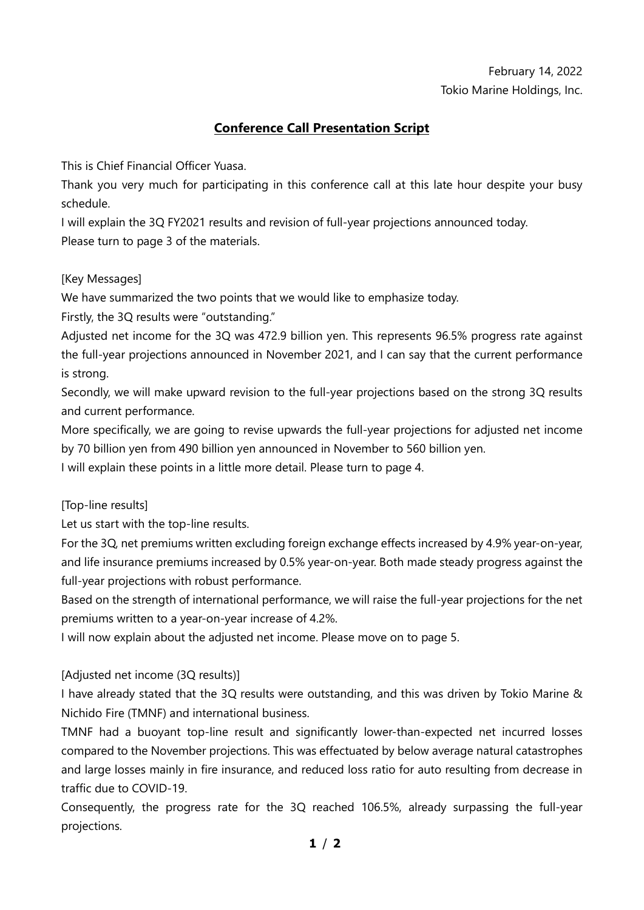# February 14, 2022 Tokio Marine Holdings, Inc.

# **Conference Call Presentation Script**

This is Chief Financial Officer Yuasa.

Thank you very much for participating in this conference call at this late hour despite your busy schedule.

I will explain the 3Q FY2021 results and revision of full-year projections announced today. Please turn to page 3 of the materials.

## [Key Messages]

We have summarized the two points that we would like to emphasize today.

Firstly, the 3Q results were "outstanding."

Adjusted net income for the 3Q was 472.9 billion yen. This represents 96.5% progress rate against the full-year projections announced in November 2021, and I can say that the current performance is strong.

Secondly, we will make upward revision to the full-year projections based on the strong 3Q results and current performance.

More specifically, we are going to revise upwards the full-year projections for adjusted net income by 70 billion yen from 490 billion yen announced in November to 560 billion yen.

I will explain these points in a little more detail. Please turn to page 4.

[Top-line results]

Let us start with the top-line results.

For the 3Q, net premiums written excluding foreign exchange effects increased by 4.9% year-on-year, and life insurance premiums increased by 0.5% year-on-year. Both made steady progress against the full-year projections with robust performance.

Based on the strength of international performance, we will raise the full-year projections for the net premiums written to a year-on-year increase of 4.2%.

I will now explain about the adjusted net income. Please move on to page 5.

### [Adjusted net income (3Q results)]

I have already stated that the 3Q results were outstanding, and this was driven by Tokio Marine & Nichido Fire (TMNF) and international business.

TMNF had a buoyant top-line result and significantly lower-than-expected net incurred losses compared to the November projections. This was effectuated by below average natural catastrophes and large losses mainly in fire insurance, and reduced loss ratio for auto resulting from decrease in traffic due to COVID-19.

Consequently, the progress rate for the 3Q reached 106.5%, already surpassing the full-year projections.